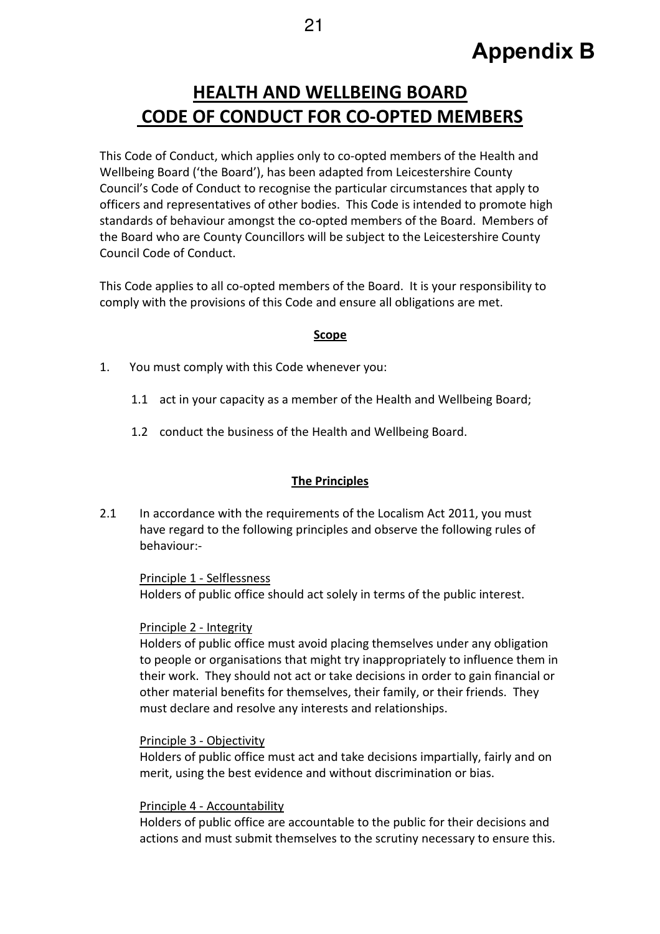# HEALTH AND WELLBEING BOARD CODE OF CONDUCT FOR CO-OPTED MEMBERS

This Code of Conduct, which applies only to co-opted members of the Health and Wellbeing Board ('the Board'), has been adapted from Leicestershire County Council's Code of Conduct to recognise the particular circumstances that apply to officers and representatives of other bodies. This Code is intended to promote high standards of behaviour amongst the co-opted members of the Board. Members of the Board who are County Councillors will be subject to the Leicestershire County Council Code of Conduct.

This Code applies to all co-opted members of the Board. It is your responsibility to comply with the provisions of this Code and ensure all obligations are met.

#### Scope

- 1. You must comply with this Code whenever you:
	- 1.1 act in your capacity as a member of the Health and Wellbeing Board;
	- 1.2 conduct the business of the Health and Wellbeing Board.

# The Principles

2.1 In accordance with the requirements of the Localism Act 2011, you must have regard to the following principles and observe the following rules of behaviour:-

#### Principle 1 - Selflessness Holders of public office should act solely in terms of the public interest.

#### Principle 2 - Integrity

Holders of public office must avoid placing themselves under any obligation to people or organisations that might try inappropriately to influence them in their work. They should not act or take decisions in order to gain financial or other material benefits for themselves, their family, or their friends. They must declare and resolve any interests and relationships.

#### Principle 3 - Objectivity

Holders of public office must act and take decisions impartially, fairly and on merit, using the best evidence and without discrimination or bias.

#### Principle 4 - Accountability

Holders of public office are accountable to the public for their decisions and actions and must submit themselves to the scrutiny necessary to ensure this.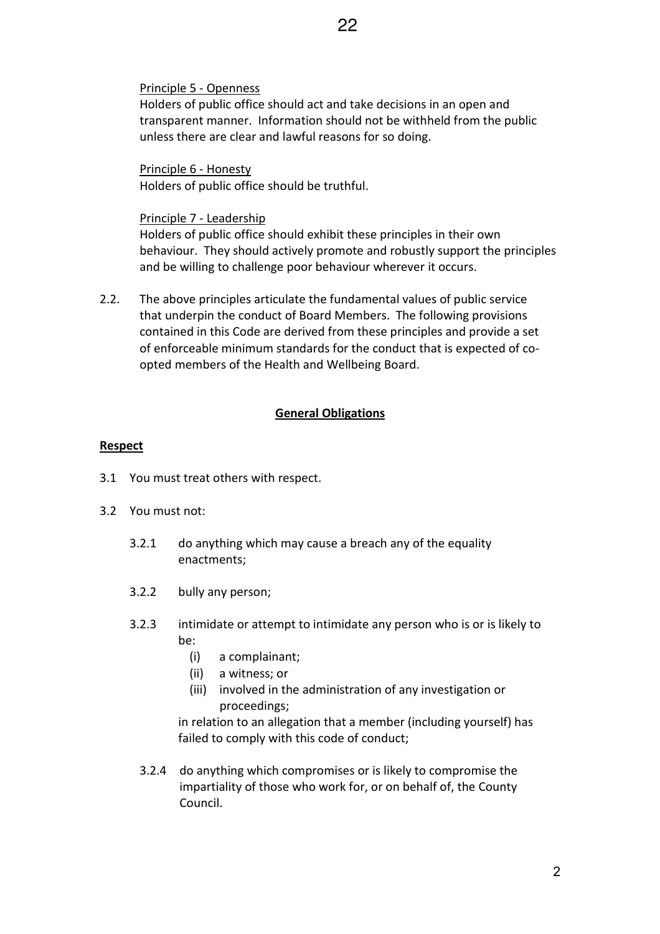# Principle 5 - Openness

Holders of public office should act and take decisions in an open and transparent manner. Information should not be withheld from the public unless there are clear and lawful reasons for so doing.

Principle 6 - Honesty Holders of public office should be truthful.

# Principle 7 - Leadership

Holders of public office should exhibit these principles in their own behaviour. They should actively promote and robustly support the principles and be willing to challenge poor behaviour wherever it occurs.

2.2. The above principles articulate the fundamental values of public service that underpin the conduct of Board Members. The following provisions contained in this Code are derived from these principles and provide a set of enforceable minimum standards for the conduct that is expected of coopted members of the Health and Wellbeing Board.

# General Obligations

# **Respect**

- 3.1 You must treat others with respect.
- 3.2 You must not:
	- 3.2.1 do anything which may cause a breach any of the equality enactments;
	- 3.2.2 bully any person;
	- 3.2.3 intimidate or attempt to intimidate any person who is or is likely to be:
		- (i) a complainant;
		- (ii) a witness; or
		- (iii) involved in the administration of any investigation or proceedings;

 in relation to an allegation that a member (including yourself) has failed to comply with this code of conduct;

3.2.4 do anything which compromises or is likely to compromise the impartiality of those who work for, or on behalf of, the County Council.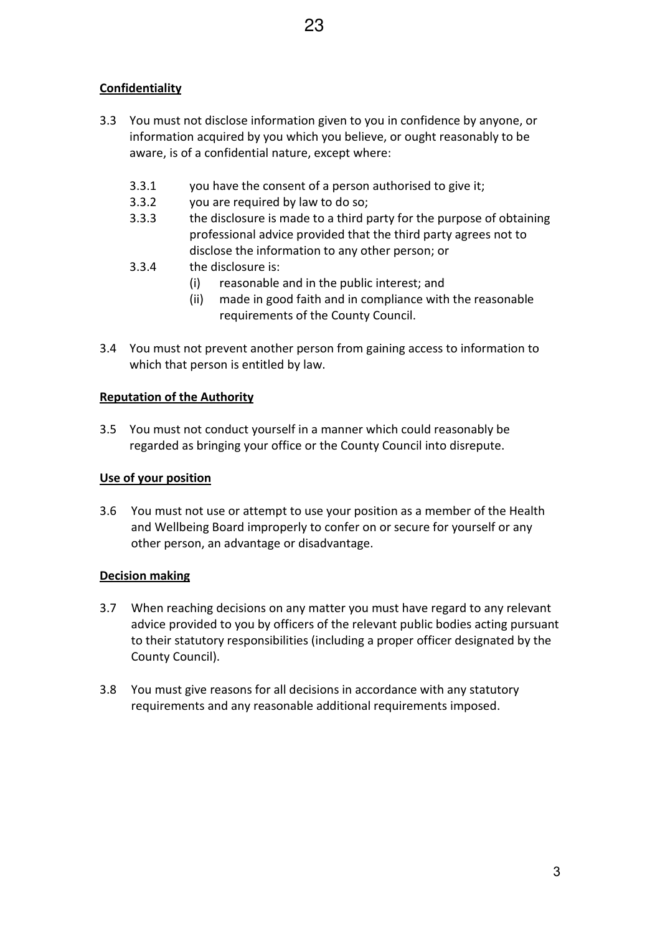# **Confidentiality**

- 3.3 You must not disclose information given to you in confidence by anyone, or information acquired by you which you believe, or ought reasonably to be aware, is of a confidential nature, except where:
	- 3.3.1 you have the consent of a person authorised to give it;
	- 3.3.2 you are required by law to do so;
	- 3.3.3 the disclosure is made to a third party for the purpose of obtaining professional advice provided that the third party agrees not to disclose the information to any other person; or
	- 3.3.4 the disclosure is:
		- (i) reasonable and in the public interest; and
		- (ii) made in good faith and in compliance with the reasonable requirements of the County Council.
- 3.4 You must not prevent another person from gaining access to information to which that person is entitled by law.

# Reputation of the Authority

3.5 You must not conduct yourself in a manner which could reasonably be regarded as bringing your office or the County Council into disrepute.

# Use of your position

3.6 You must not use or attempt to use your position as a member of the Health and Wellbeing Board improperly to confer on or secure for yourself or any other person, an advantage or disadvantage.

# Decision making

- 3.7 When reaching decisions on any matter you must have regard to any relevant advice provided to you by officers of the relevant public bodies acting pursuant to their statutory responsibilities (including a proper officer designated by the County Council).
- 3.8 You must give reasons for all decisions in accordance with any statutory requirements and any reasonable additional requirements imposed.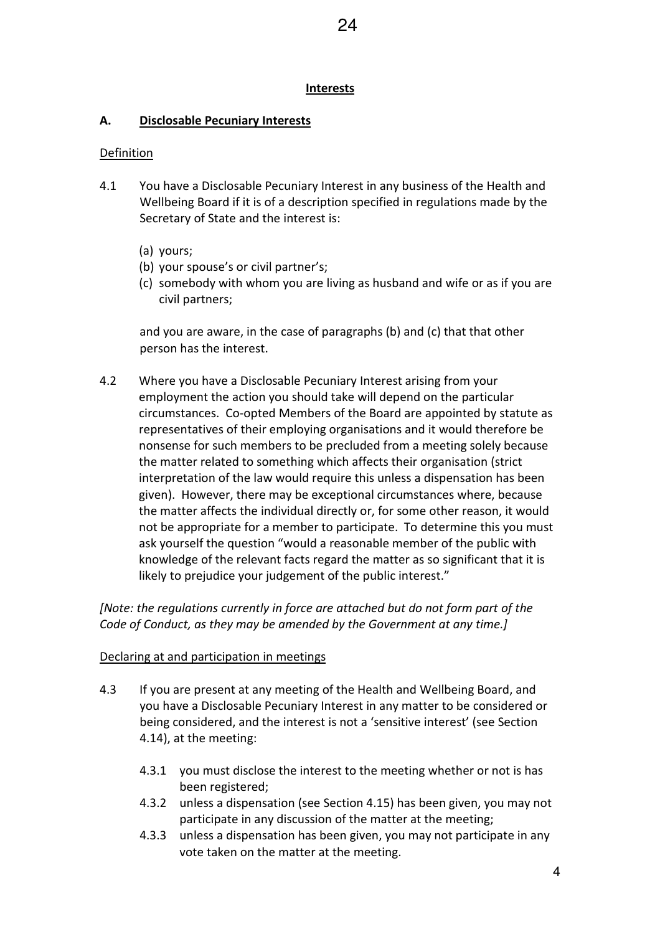#### Interests

# A. Disclosable Pecuniary Interests

# Definition

- 4.1 You have a Disclosable Pecuniary Interest in any business of the Health and Wellbeing Board if it is of a description specified in regulations made by the Secretary of State and the interest is:
	- (a) yours;
	- (b) your spouse's or civil partner's;
	- (c) somebody with whom you are living as husband and wife or as if you are civil partners;

and you are aware, in the case of paragraphs (b) and (c) that that other person has the interest.

4.2 Where you have a Disclosable Pecuniary Interest arising from your employment the action you should take will depend on the particular circumstances. Co-opted Members of the Board are appointed by statute as representatives of their employing organisations and it would therefore be nonsense for such members to be precluded from a meeting solely because the matter related to something which affects their organisation (strict interpretation of the law would require this unless a dispensation has been given). However, there may be exceptional circumstances where, because the matter affects the individual directly or, for some other reason, it would not be appropriate for a member to participate. To determine this you must ask yourself the question "would a reasonable member of the public with knowledge of the relevant facts regard the matter as so significant that it is likely to prejudice your judgement of the public interest."

[Note: the regulations currently in force are attached but do not form part of the Code of Conduct, as they may be amended by the Government at any time.]

# Declaring at and participation in meetings

- 4.3 If you are present at any meeting of the Health and Wellbeing Board, and you have a Disclosable Pecuniary Interest in any matter to be considered or being considered, and the interest is not a 'sensitive interest' (see Section 4.14), at the meeting:
	- 4.3.1 you must disclose the interest to the meeting whether or not is has been registered;
	- 4.3.2 unless a dispensation (see Section 4.15) has been given, you may not participate in any discussion of the matter at the meeting;
	- 4.3.3 unless a dispensation has been given, you may not participate in any vote taken on the matter at the meeting.

4

24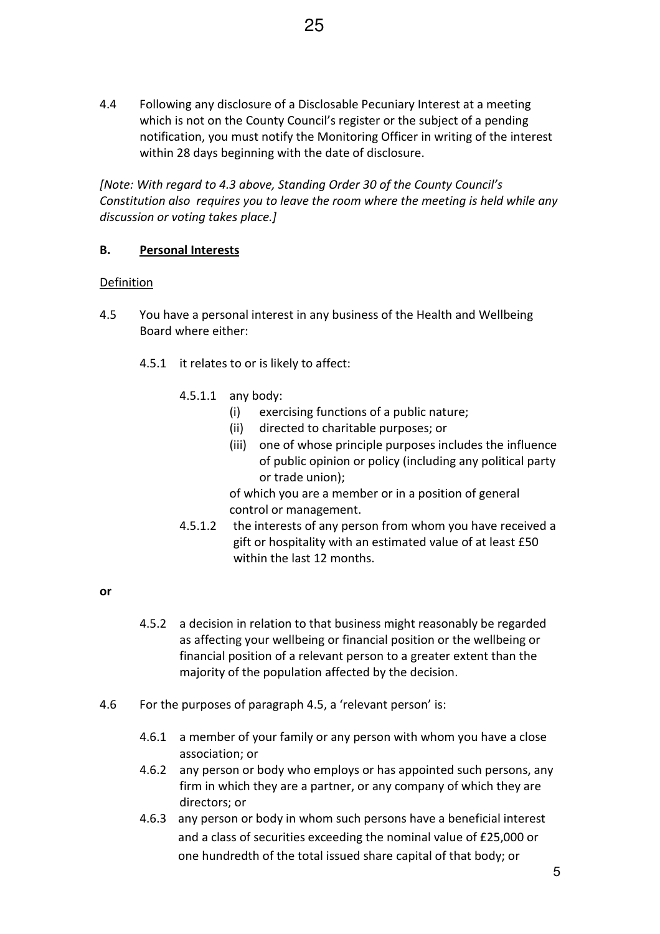4.4 Following any disclosure of a Disclosable Pecuniary Interest at a meeting which is not on the County Council's register or the subject of a pending notification, you must notify the Monitoring Officer in writing of the interest within 28 days beginning with the date of disclosure.

[Note: With regard to 4.3 above, Standing Order 30 of the County Council's Constitution also requires you to leave the room where the meeting is held while any discussion or voting takes place.]

# B. Personal Interests

#### **Definition**

- 4.5 You have a personal interest in any business of the Health and Wellbeing Board where either:
	- 4.5.1 it relates to or is likely to affect:
		- 4.5.1.1 any body:
			- (i) exercising functions of a public nature;
			- (ii) directed to charitable purposes; or
			- (iii) one of whose principle purposes includes the influence of public opinion or policy (including any political party or trade union);

of which you are a member or in a position of general control or management.

4.5.1.2 the interests of any person from whom you have received a gift or hospitality with an estimated value of at least £50 within the last 12 months.

#### or

- 4.5.2 a decision in relation to that business might reasonably be regarded as affecting your wellbeing or financial position or the wellbeing or financial position of a relevant person to a greater extent than the majority of the population affected by the decision.
- 4.6 For the purposes of paragraph 4.5, a 'relevant person' is:
	- 4.6.1 a member of your family or any person with whom you have a close association; or
	- 4.6.2 any person or body who employs or has appointed such persons, any firm in which they are a partner, or any company of which they are directors; or
	- 4.6.3 any person or body in whom such persons have a beneficial interest and a class of securities exceeding the nominal value of £25,000 or one hundredth of the total issued share capital of that body; or

5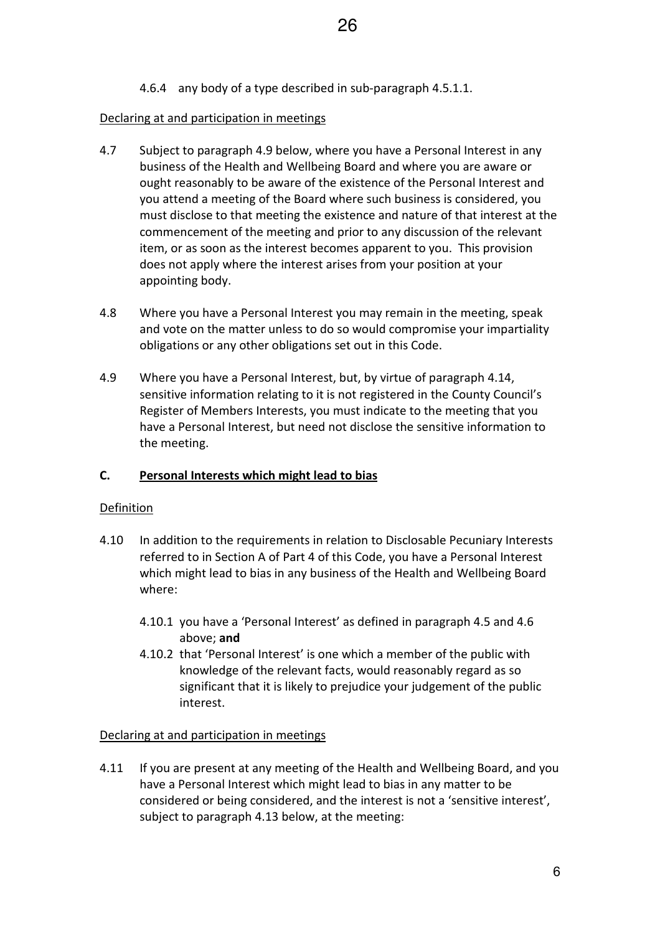4.6.4 any body of a type described in sub-paragraph 4.5.1.1.

#### Declaring at and participation in meetings

- 4.7 Subject to paragraph 4.9 below, where you have a Personal Interest in any business of the Health and Wellbeing Board and where you are aware or ought reasonably to be aware of the existence of the Personal Interest and you attend a meeting of the Board where such business is considered, you must disclose to that meeting the existence and nature of that interest at the commencement of the meeting and prior to any discussion of the relevant item, or as soon as the interest becomes apparent to you. This provision does not apply where the interest arises from your position at your appointing body.
- 4.8 Where you have a Personal Interest you may remain in the meeting, speak and vote on the matter unless to do so would compromise your impartiality obligations or any other obligations set out in this Code.
- 4.9 Where you have a Personal Interest, but, by virtue of paragraph 4.14, sensitive information relating to it is not registered in the County Council's Register of Members Interests, you must indicate to the meeting that you have a Personal Interest, but need not disclose the sensitive information to the meeting.

# C. Personal Interests which might lead to bias

#### Definition

- 4.10 In addition to the requirements in relation to Disclosable Pecuniary Interests referred to in Section A of Part 4 of this Code, you have a Personal Interest which might lead to bias in any business of the Health and Wellbeing Board where:
	- 4.10.1 you have a 'Personal Interest' as defined in paragraph 4.5 and 4.6 above; and
	- 4.10.2 that 'Personal Interest' is one which a member of the public with knowledge of the relevant facts, would reasonably regard as so significant that it is likely to prejudice your judgement of the public interest.

#### Declaring at and participation in meetings

4.11 If you are present at any meeting of the Health and Wellbeing Board, and you have a Personal Interest which might lead to bias in any matter to be considered or being considered, and the interest is not a 'sensitive interest', subject to paragraph 4.13 below, at the meeting: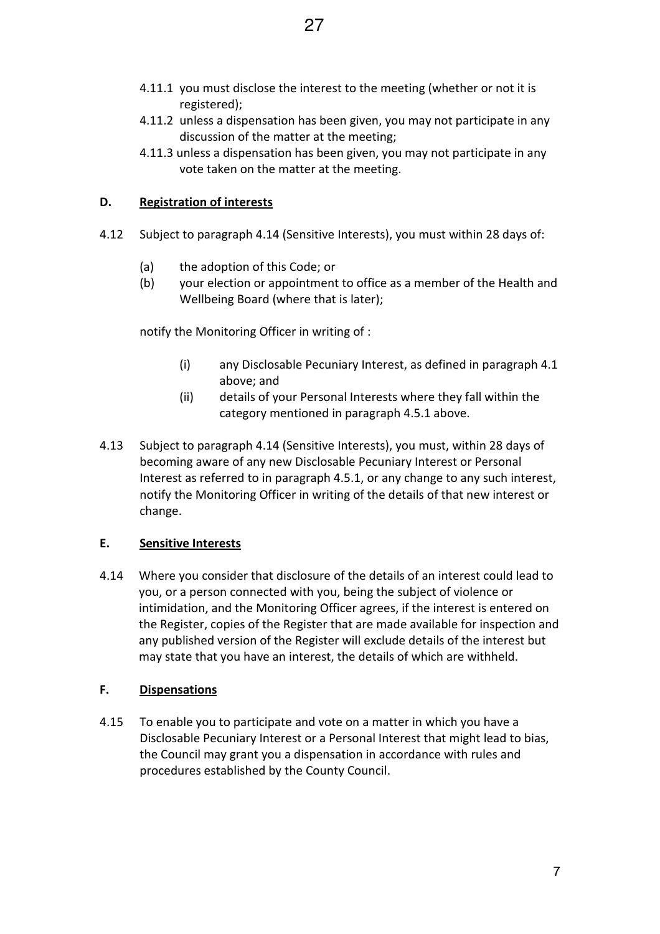- 4.11.1 you must disclose the interest to the meeting (whether or not it is registered);
- 4.11.2 unless a dispensation has been given, you may not participate in any discussion of the matter at the meeting;
- 4.11.3 unless a dispensation has been given, you may not participate in any vote taken on the matter at the meeting.

# D. Registration of interests

- 4.12 Subject to paragraph 4.14 (Sensitive Interests), you must within 28 days of:
	- (a) the adoption of this Code; or
	- (b) your election or appointment to office as a member of the Health and Wellbeing Board (where that is later);

notify the Monitoring Officer in writing of :

- (i) any Disclosable Pecuniary Interest, as defined in paragraph 4.1 above; and
- (ii) details of your Personal Interests where they fall within the category mentioned in paragraph 4.5.1 above.
- 4.13 Subject to paragraph 4.14 (Sensitive Interests), you must, within 28 days of becoming aware of any new Disclosable Pecuniary Interest or Personal Interest as referred to in paragraph 4.5.1, or any change to any such interest, notify the Monitoring Officer in writing of the details of that new interest or change.

# E. Sensitive Interests

4.14 Where you consider that disclosure of the details of an interest could lead to you, or a person connected with you, being the subject of violence or intimidation, and the Monitoring Officer agrees, if the interest is entered on the Register, copies of the Register that are made available for inspection and any published version of the Register will exclude details of the interest but may state that you have an interest, the details of which are withheld.

# F. Dispensations

4.15 To enable you to participate and vote on a matter in which you have a Disclosable Pecuniary Interest or a Personal Interest that might lead to bias, the Council may grant you a dispensation in accordance with rules and procedures established by the County Council.